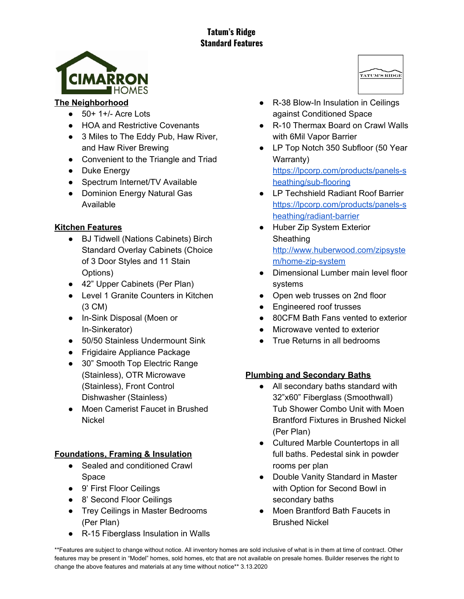# **Tatum's Ridge Standard Features**



#### **The Neighborhood**

- $\bullet$  50+ 1+/- Acre Lots
- HOA and Restrictive Covenants
- 3 Miles to The Eddy Pub, Haw River, and Haw River Brewing
- Convenient to the Triangle and Triad
- Duke Energy
- Spectrum Internet/TV Available
- Dominion Energy Natural Gas Available

## **Kitchen Features**

- BJ Tidwell (Nations Cabinets) Birch Standard Overlay Cabinets (Choice of 3 Door Styles and 11 Stain Options)
- 42" Upper Cabinets (Per Plan)
- Level 1 Granite Counters in Kitchen (3 CM)
- In-Sink Disposal (Moen or In-Sinkerator)
- 50/50 Stainless Undermount Sink
- Frigidaire Appliance Package
- 30" Smooth Top Electric Range (Stainless), OTR Microwave (Stainless), Front Control Dishwasher (Stainless)
- Moen Camerist Faucet in Brushed **Nickel**

# **Foundations, Framing & Insulation**

- Sealed and conditioned Crawl Space
- 9' First Floor Ceilings
- 8' Second Floor Ceilings
- Trey Ceilings in Master Bedrooms (Per Plan)
- R-15 Fiberglass Insulation in Walls
- R-38 Blow-In Insulation in Ceilings against Conditioned Space
- R-10 Thermax Board on Crawl Walls with 6Mil Vapor Barrier
- LP Top Notch 350 Subfloor (50 Year Warranty) [https://lpcorp.com/products/panels-s](https://lpcorp.com/products/panels-sheathing/sub-flooring) [heathing/sub-flooring](https://lpcorp.com/products/panels-sheathing/sub-flooring)
- LP Techshield Radiant Roof Barrier [https://lpcorp.com/products/panels-s](https://lpcorp.com/products/panels-sheathing/radiant-barrier) [heathing/radiant-barrier](https://lpcorp.com/products/panels-sheathing/radiant-barrier)
- Huber Zip System Exterior **Sheathing** [http://www.huberwood.com/zipsyste](http://www.huberwood.com/zipsystem/home-zip-system) [m/home-zip-system](http://www.huberwood.com/zipsystem/home-zip-system)
- Dimensional Lumber main level floor systems
- Open web trusses on 2nd floor
- Engineered roof trusses
- 80CFM Bath Fans vented to exterior
- Microwave vented to exterior
- True Returns in all bedrooms

# **Plumbing and Secondary Baths**

- All secondary baths standard with 32"x60" Fiberglass (Smoothwall) Tub Shower Combo Unit with Moen Brantford Fixtures in Brushed Nickel (Per Plan)
- Cultured Marble Countertops in all full baths. Pedestal sink in powder rooms per plan
- Double Vanity Standard in Master with Option for Second Bowl in secondary baths
- Moen Brantford Bath Faucets in Brushed Nickel

\*\*Features are subject to change without notice. All inventory homes are sold inclusive of what is in them at time of contract. Other features may be present in "Model" homes, sold homes, etc that are not available on presale homes. Builder reserves the right to change the above features and materials at any time without notice\*\* 3.13.2020

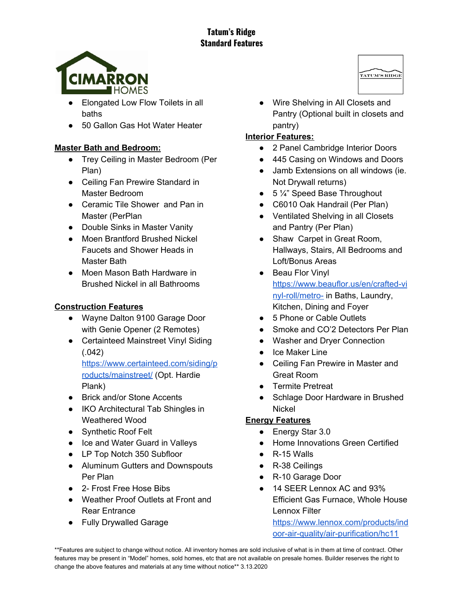# **Tatum's Ridge Standard Features**



- Elongated Low Flow Toilets in all baths
- 50 Gallon Gas Hot Water Heater

## **Master Bath and Bedroom:**

- Trey Ceiling in Master Bedroom (Per Plan)
- Ceiling Fan Prewire Standard in Master Bedroom
- Ceramic Tile Shower and Pan in Master (PerPlan
- Double Sinks in Master Vanity
- Moen Brantford Brushed Nickel Faucets and Shower Heads in Master Bath
- Moen Mason Bath Hardware in Brushed Nickel in all Bathrooms

#### **Construction Features**

- Wayne Dalton 9100 Garage Door with Genie Opener (2 Remotes)
- Certainteed Mainstreet Vinyl Siding (.042)

[https://www.certainteed.com/siding/p](https://www.certainteed.com/siding/products/mainstreet/) [roducts/mainstreet/](https://www.certainteed.com/siding/products/mainstreet/) (Opt. Hardie Plank)

- Brick and/or Stone Accents
- IKO Architectural Tab Shingles in Weathered Wood
- Synthetic Roof Felt
- Ice and Water Guard in Valleys
- LP Top Notch 350 Subfloor
- Aluminum Gutters and Downspouts Per Plan
- 2- Frost Free Hose Bibs
- Weather Proof Outlets at Front and Rear Entrance
- Fully Drywalled Garage

TATUM'S RIDGE ● Wire Shelving in All Closets and Pantry (Optional built in closets and

#### pantry) **Interior Features:**

- 2 Panel Cambridge Interior Doors
- 445 Casing on Windows and Doors
- Jamb Extensions on all windows (ie. Not Drywall returns)
- $\bullet$  5  $\frac{1}{4}$ " Speed Base Throughout
- C6010 Oak Handrail (Per Plan)
- Ventilated Shelving in all Closets and Pantry (Per Plan)
- Shaw Carpet in Great Room, Hallways, Stairs, All Bedrooms and Loft/Bonus Areas
- Beau Flor Vinyl [https://www.beauflor.us/en/crafted-vi](https://www.beauflor.us/en/crafted-vinyl-roll/metro-) [nyl-roll/metro-](https://www.beauflor.us/en/crafted-vinyl-roll/metro-) in Baths, Laundry, Kitchen, Dining and Foyer
- 5 Phone or Cable Outlets
- Smoke and CO'2 Detectors Per Plan
- Washer and Dryer Connection
- Ice Maker Line
- Ceiling Fan Prewire in Master and Great Room
- Termite Pretreat
- Schlage Door Hardware in Brushed Nickel

#### **Energy Features**

- Energy Star 3.0
- Home Innovations Green Certified
- $\bullet$  R-15 Walls
- R-38 Ceilings
- R-10 Garage Door
- 14 SEER Lennox AC and 93% Efficient Gas Furnace, Whole House Lennox Filter [https://www.lennox.com/products/ind](https://www.lennox.com/products/indoor-air-quality/air-purification/hc11) [oor-air-quality/air-purification/hc11](https://www.lennox.com/products/indoor-air-quality/air-purification/hc11)

\*\*Features are subject to change without notice. All inventory homes are sold inclusive of what is in them at time of contract. Other features may be present in "Model" homes, sold homes, etc that are not available on presale homes. Builder reserves the right to change the above features and materials at any time without notice\*\* 3.13.2020